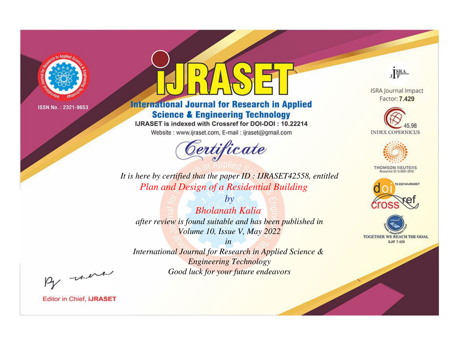

# **International Journal for Research in Applied Science & Engineering Technology**

IJRASET is indexed with Crossref for DOI-DOI: 10.22214

Website: www.ijraset.com, E-mail: ijraset@gmail.com



JERA

**ISRA Journal Impact** Factor: 7.429





**THOMSON REUTERS** 



TOGETHER WE REACH THE GOAL **SJIF 7.429** 

*It is here by certified that the paper ID : IJRASET42558, entitled Plan and Design of a Residential Building*

*by Bholanath Kalia after review is found suitable and has been published in Volume 10, Issue V, May 2022*

*in* 

*International Journal for Research in Applied Science & Engineering Technology Good luck for your future endeavors*

By morn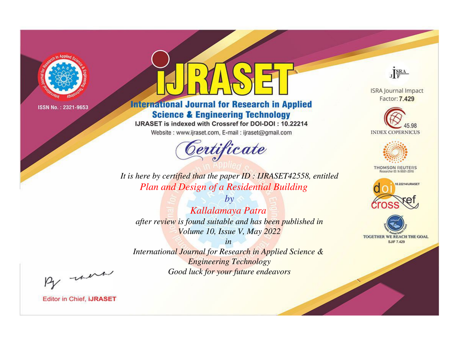

# **International Journal for Research in Applied Science & Engineering Technology**

IJRASET is indexed with Crossref for DOI-DOI: 10.22214

Website: www.ijraset.com, E-mail: ijraset@gmail.com



JERA

**ISRA Journal Impact** Factor: 7.429





**THOMSON REUTERS** 



TOGETHER WE REACH THE GOAL **SJIF 7.429** 

*It is here by certified that the paper ID : IJRASET42558, entitled Plan and Design of a Residential Building*

*Kallalamaya Patra after review is found suitable and has been published in Volume 10, Issue V, May 2022*

*by*

*in* 

*International Journal for Research in Applied Science & Engineering Technology Good luck for your future endeavors*

By morn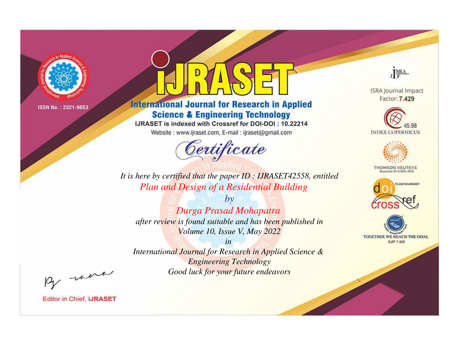

# **International Journal for Research in Applied Science & Engineering Technology**

IJRASET is indexed with Crossref for DOI-DOI: 10.22214

Website: www.ijraset.com, E-mail: ijraset@gmail.com



JERA

**ISRA Journal Impact** Factor: 7.429





**THOMSON REUTERS** 



TOGETHER WE REACH THE GOAL **SJIF 7.429** 

It is here by certified that the paper ID: IJRASET42558, entitled Plan and Design of a Residential Building

 $b\nu$ Durga Prasad Mohapatra after review is found suitable and has been published in Volume 10, Issue V, May 2022

 $in$ International Journal for Research in Applied Science & **Engineering Technology** Good luck for your future endeavors

By morn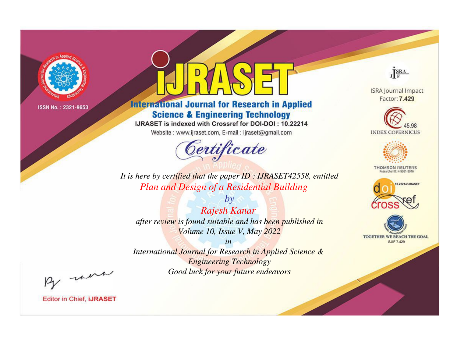

# **International Journal for Research in Applied Science & Engineering Technology**

IJRASET is indexed with Crossref for DOI-DOI: 10.22214

Website: www.ijraset.com, E-mail: ijraset@gmail.com



JERA

**ISRA Journal Impact** Factor: 7.429





**THOMSON REUTERS** 



TOGETHER WE REACH THE GOAL **SJIF 7.429** 

*It is here by certified that the paper ID : IJRASET42558, entitled Plan and Design of a Residential Building*

*by Rajesh Kanar after review is found suitable and has been published in Volume 10, Issue V, May 2022*

*in* 

*International Journal for Research in Applied Science & Engineering Technology Good luck for your future endeavors*

By morn